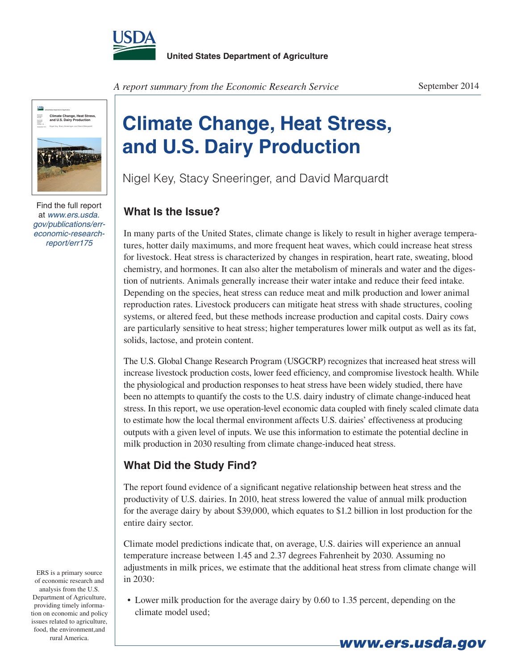



Find the full report at *www.ers.usda. gov/publications/erreconomic-researchreport/err175*

## **Climate Change, Heat Stress, and U.S. Dairy Production**

Nigel Key, Stacy Sneeringer, and David Marquardt

## **What Is the Issue?**

In many parts of the United States, climate change is likely to result in higher average temperatures, hotter daily maximums, and more frequent heat waves, which could increase heat stress for livestock. Heat stress is characterized by changes in respiration, heart rate, sweating, blood chemistry, and hormones. It can also alter the metabolism of minerals and water and the digestion of nutrients. Animals generally increase their water intake and reduce their feed intake. Depending on the species, heat stress can reduce meat and milk production and lower animal reproduction rates. Livestock producers can mitigate heat stress with shade structures, cooling systems, or altered feed, but these methods increase production and capital costs. Dairy cows are particularly sensitive to heat stress; higher temperatures lower milk output as well as its fat, solids, lactose, and protein content.

The U.S. Global Change Research Program (USGCRP) recognizes that increased heat stress will increase livestock production costs, lower feed efficiency, and compromise livestock health. While the physiological and production responses to heat stress have been widely studied, there have been no attempts to quantify the costs to the U.S. dairy industry of climate change-induced heat stress. In this report, we use operation-level economic data coupled with finely scaled climate data to estimate how the local thermal environment affects U.S. dairies' effectiveness at producing outputs with a given level of inputs. We use this information to estimate the potential decline in milk production in 2030 resulting from climate change-induced heat stress.

## **What Did the Study Find?**

The report found evidence of a significant negative relationship between heat stress and the productivity of U.S. dairies. In 2010, heat stress lowered the value of annual milk production for the average dairy by about \$39,000, which equates to \$1.2 billion in lost production for the entire dairy sector.

Climate model predictions indicate that, on average, U.S. dairies will experience an annual temperature increase between 1.45 and 2.37 degrees Fahrenheit by 2030. Assuming no adjustments in milk prices, we estimate that the additional heat stress from climate change will in 2030:

• Lower milk production for the average dairy by 0.60 to 1.35 percent, depending on the climate model used;

ERS is a primary source of economic research and analysis from the U.S. Department of Agriculture, providing timely information on economic and policy issues related to agriculture, food, the environment,and rural America. *www.ers.usda.gov*